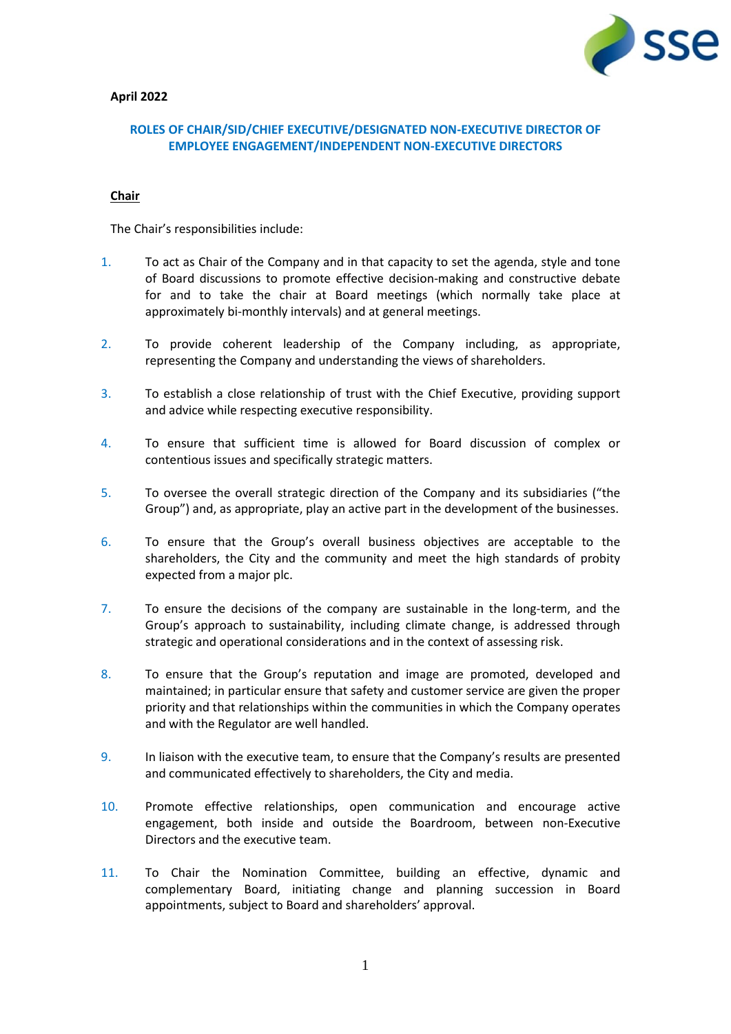

## **April 2022**

## **ROLES OF CHAIR/SID/CHIEF EXECUTIVE/DESIGNATED NON-EXECUTIVE DIRECTOR OF EMPLOYEE ENGAGEMENT/INDEPENDENT NON-EXECUTIVE DIRECTORS**

### **Chair**

The Chair's responsibilities include:

- 1. To act as Chair of the Company and in that capacity to set the agenda, style and tone of Board discussions to promote effective decision-making and constructive debate for and to take the chair at Board meetings (which normally take place at approximately bi-monthly intervals) and at general meetings.
- 2. To provide coherent leadership of the Company including, as appropriate, representing the Company and understanding the views of shareholders.
- 3. To establish a close relationship of trust with the Chief Executive, providing support and advice while respecting executive responsibility.
- 4. To ensure that sufficient time is allowed for Board discussion of complex or contentious issues and specifically strategic matters.
- 5. To oversee the overall strategic direction of the Company and its subsidiaries ("the Group") and, as appropriate, play an active part in the development of the businesses.
- 6. To ensure that the Group's overall business objectives are acceptable to the shareholders, the City and the community and meet the high standards of probity expected from a major plc.
- 7. To ensure the decisions of the company are sustainable in the long-term, and the Group's approach to sustainability, including climate change, is addressed through strategic and operational considerations and in the context of assessing risk.
- 8. To ensure that the Group's reputation and image are promoted, developed and maintained; in particular ensure that safety and customer service are given the proper priority and that relationships within the communities in which the Company operates and with the Regulator are well handled.
- 9. In liaison with the executive team, to ensure that the Company's results are presented and communicated effectively to shareholders, the City and media.
- 10. Promote effective relationships, open communication and encourage active engagement, both inside and outside the Boardroom, between non-Executive Directors and the executive team.
- 11. To Chair the Nomination Committee, building an effective, dynamic and complementary Board, initiating change and planning succession in Board appointments, subject to Board and shareholders' approval.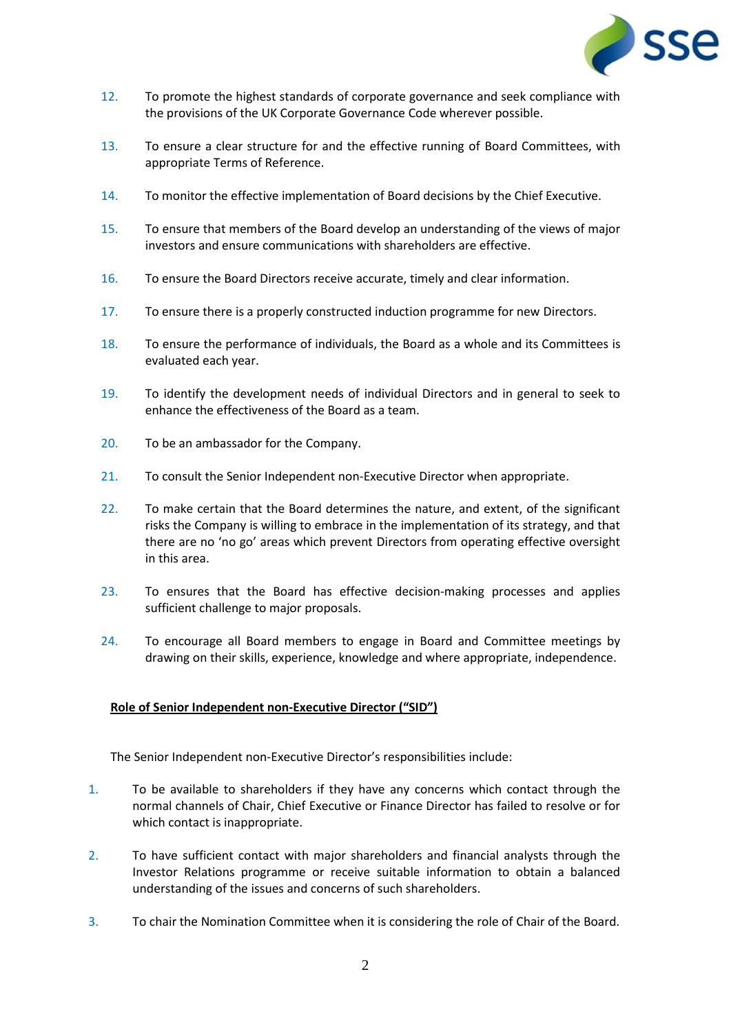

- 12. To promote the highest standards of corporate governance and seek compliance with the provisions of the UK Corporate Governance Code wherever possible.
- 13. To ensure a clear structure for and the effective running of Board Committees, with appropriate Terms of Reference.
- 14. To monitor the effective implementation of Board decisions by the Chief Executive.
- 15. To ensure that members of the Board develop an understanding of the views of major investors and ensure communications with shareholders are effective.
- 16. To ensure the Board Directors receive accurate, timely and clear information.
- 17. To ensure there is a properly constructed induction programme for new Directors.
- 18. To ensure the performance of individuals, the Board as a whole and its Committees is evaluated each year.
- 19. To identify the development needs of individual Directors and in general to seek to enhance the effectiveness of the Board as a team.
- 20. To be an ambassador for the Company.
- 21. To consult the Senior Independent non-Executive Director when appropriate.
- 22. To make certain that the Board determines the nature, and extent, of the significant risks the Company is willing to embrace in the implementation of its strategy, and that there are no 'no go' areas which prevent Directors from operating effective oversight in this area.
- 23. To ensures that the Board has effective decision-making processes and applies sufficient challenge to major proposals.
- 24. To encourage all Board members to engage in Board and Committee meetings by drawing on their skills, experience, knowledge and where appropriate, independence.

# **Role of Senior Independent non-Executive Director ("SID")**

The Senior Independent non-Executive Director's responsibilities include:

- 1. To be available to shareholders if they have any concerns which contact through the normal channels of Chair, Chief Executive or Finance Director has failed to resolve or for which contact is inappropriate.
- 2. To have sufficient contact with major shareholders and financial analysts through the Investor Relations programme or receive suitable information to obtain a balanced understanding of the issues and concerns of such shareholders.
- 3. To chair the Nomination Committee when it is considering the role of Chair of the Board.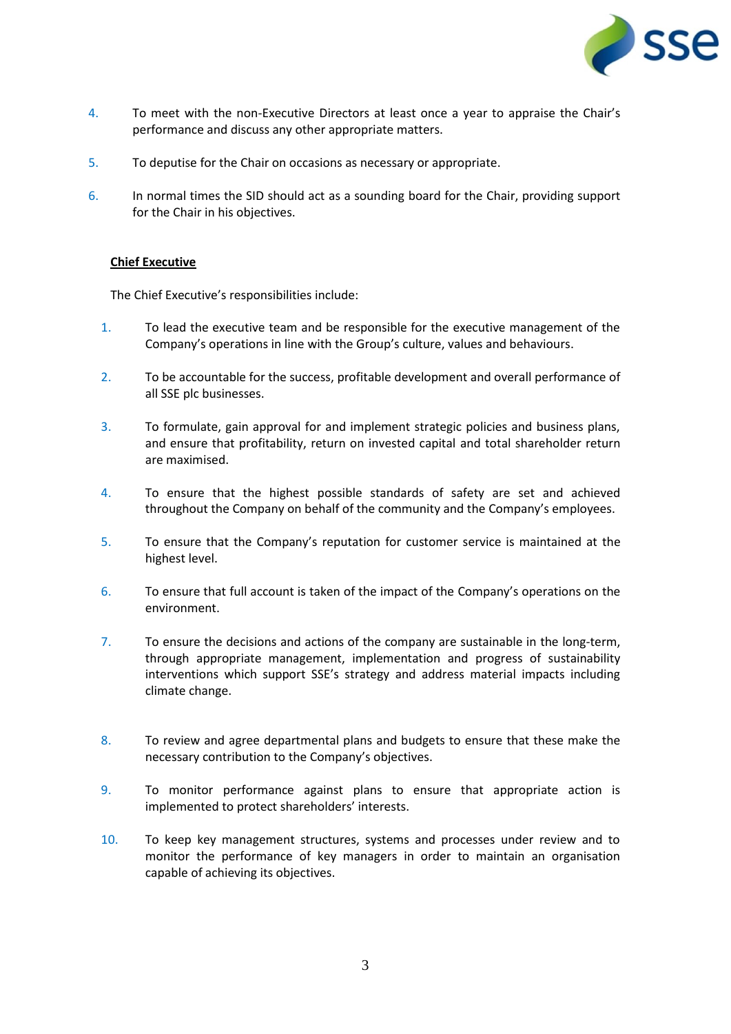

- 4. To meet with the non-Executive Directors at least once a year to appraise the Chair's performance and discuss any other appropriate matters.
- 5. To deputise for the Chair on occasions as necessary or appropriate.
- 6. In normal times the SID should act as a sounding board for the Chair, providing support for the Chair in his objectives.

### **Chief Executive**

The Chief Executive's responsibilities include:

- 1. To lead the executive team and be responsible for the executive management of the Company's operations in line with the Group's culture, values and behaviours.
- 2. To be accountable for the success, profitable development and overall performance of all SSE plc businesses.
- 3. To formulate, gain approval for and implement strategic policies and business plans, and ensure that profitability, return on invested capital and total shareholder return are maximised.
- 4. To ensure that the highest possible standards of safety are set and achieved throughout the Company on behalf of the community and the Company's employees.
- 5. To ensure that the Company's reputation for customer service is maintained at the highest level.
- 6. To ensure that full account is taken of the impact of the Company's operations on the environment.
- 7. To ensure the decisions and actions of the company are sustainable in the long-term, through appropriate management, implementation and progress of sustainability interventions which support SSE's strategy and address material impacts including climate change.
- 8. To review and agree departmental plans and budgets to ensure that these make the necessary contribution to the Company's objectives.
- 9. To monitor performance against plans to ensure that appropriate action is implemented to protect shareholders' interests.
- 10. To keep key management structures, systems and processes under review and to monitor the performance of key managers in order to maintain an organisation capable of achieving its objectives.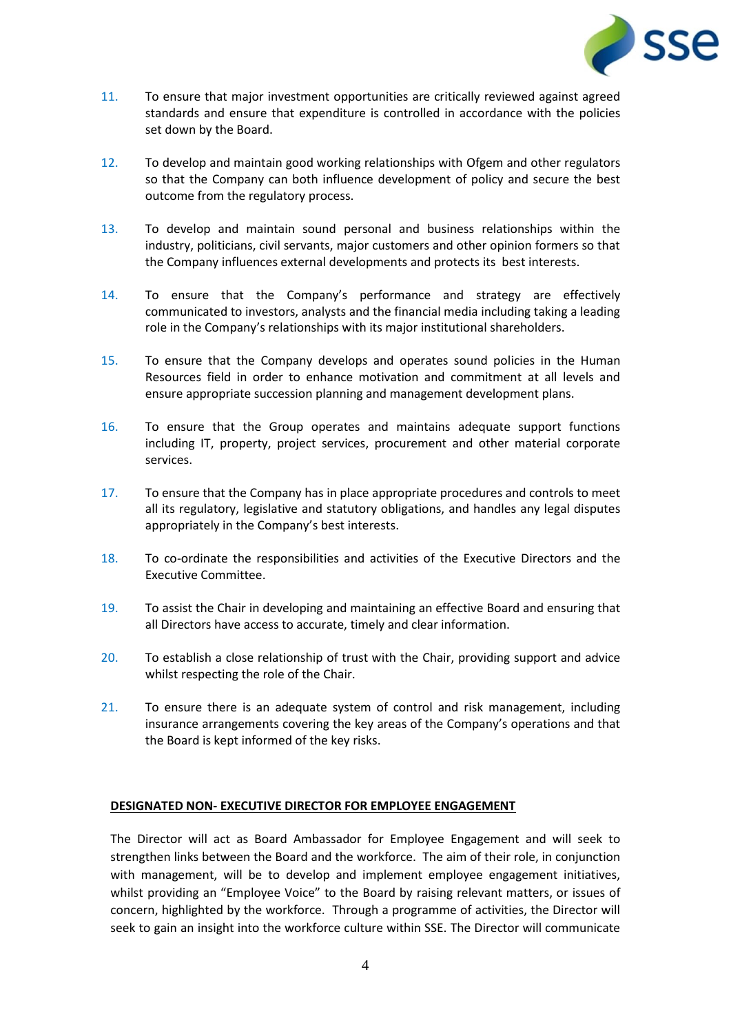

- 11. To ensure that major investment opportunities are critically reviewed against agreed standards and ensure that expenditure is controlled in accordance with the policies set down by the Board.
- 12. To develop and maintain good working relationships with Ofgem and other regulators so that the Company can both influence development of policy and secure the best outcome from the regulatory process.
- 13. To develop and maintain sound personal and business relationships within the industry, politicians, civil servants, major customers and other opinion formers so that the Company influences external developments and protects its best interests.
- 14. To ensure that the Company's performance and strategy are effectively communicated to investors, analysts and the financial media including taking a leading role in the Company's relationships with its major institutional shareholders.
- 15. To ensure that the Company develops and operates sound policies in the Human Resources field in order to enhance motivation and commitment at all levels and ensure appropriate succession planning and management development plans.
- 16. To ensure that the Group operates and maintains adequate support functions including IT, property, project services, procurement and other material corporate services.
- 17. To ensure that the Company has in place appropriate procedures and controls to meet all its regulatory, legislative and statutory obligations, and handles any legal disputes appropriately in the Company's best interests.
- 18. To co-ordinate the responsibilities and activities of the Executive Directors and the Executive Committee.
- 19. To assist the Chair in developing and maintaining an effective Board and ensuring that all Directors have access to accurate, timely and clear information.
- 20. To establish a close relationship of trust with the Chair, providing support and advice whilst respecting the role of the Chair.
- 21. To ensure there is an adequate system of control and risk management, including insurance arrangements covering the key areas of the Company's operations and that the Board is kept informed of the key risks.

## **DESIGNATED NON- EXECUTIVE DIRECTOR FOR EMPLOYEE ENGAGEMENT**

The Director will act as Board Ambassador for Employee Engagement and will seek to strengthen links between the Board and the workforce. The aim of their role, in conjunction with management, will be to develop and implement employee engagement initiatives, whilst providing an "Employee Voice" to the Board by raising relevant matters, or issues of concern, highlighted by the workforce. Through a programme of activities, the Director will seek to gain an insight into the workforce culture within SSE. The Director will communicate